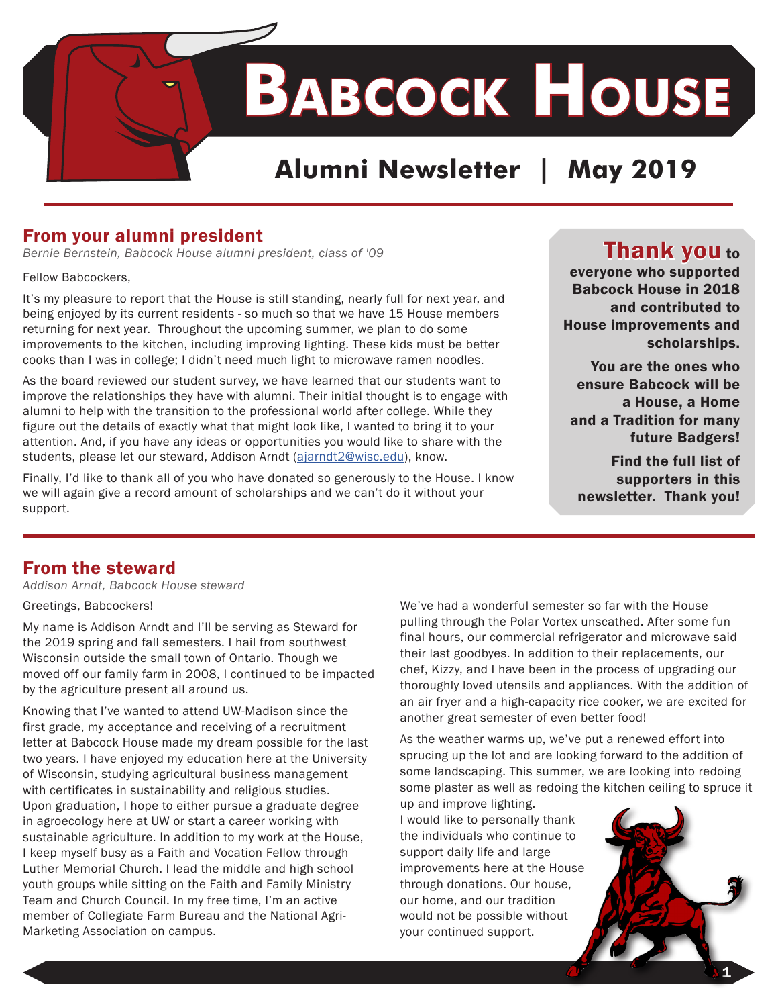

#### From your alumni president

*Bernie Bernstein, Babcock House alumni president, class of '09*

Fellow Babcockers,

It's my pleasure to report that the House is still standing, nearly full for next year, and being enjoyed by its current residents - so much so that we have 15 House members returning for next year. Throughout the upcoming summer, we plan to do some improvements to the kitchen, including improving lighting. These kids must be better cooks than I was in college; I didn't need much light to microwave ramen noodles.

As the board reviewed our student survey, we have learned that our students want to improve the relationships they have with alumni. Their initial thought is to engage with alumni to help with the transition to the professional world after college. While they figure out the details of exactly what that might look like, I wanted to bring it to your attention. And, if you have any ideas or opportunities you would like to share with the students, please let our steward, Addison Arndt ([ajarndt2@wisc.edu](mailto:ajarndt2%40wisc.edu?subject=Connecting%20with%20Babcock%20Alumni)), know.

Finally, I'd like to thank all of you who have donated so generously to the House. I know we will again give a record amount of scholarships and we can't do it without your support.

#### **Thank you to**

everyone who supported Babcock House in 2018 and contributed to House improvements and scholarships.

You are the ones who ensure Babcock will be a House, a Home and a Tradition for many future Badgers!

Find the full list of supporters in this newsletter. Thank you!

#### From the steward

*Addison Arndt, Babcock House steward* 

#### Greetings, Babcockers!

My name is Addison Arndt and I'll be serving as Steward for the 2019 spring and fall semesters. I hail from southwest Wisconsin outside the small town of Ontario. Though we moved off our family farm in 2008, I continued to be impacted by the agriculture present all around us.

Knowing that I've wanted to attend UW-Madison since the first grade, my acceptance and receiving of a recruitment letter at Babcock House made my dream possible for the last two years. I have enjoyed my education here at the University of Wisconsin, studying agricultural business management with certificates in sustainability and religious studies. Upon graduation, I hope to either pursue a graduate degree in agroecology here at UW or start a career working with sustainable agriculture. In addition to my work at the House, I keep myself busy as a Faith and Vocation Fellow through Luther Memorial Church. I lead the middle and high school youth groups while sitting on the Faith and Family Ministry Team and Church Council. In my free time, I'm an active member of Collegiate Farm Bureau and the National Agri-Marketing Association on campus.

We've had a wonderful semester so far with the House pulling through the Polar Vortex unscathed. After some fun final hours, our commercial refrigerator and microwave said their last goodbyes. In addition to their replacements, our chef, Kizzy, and I have been in the process of upgrading our thoroughly loved utensils and appliances. With the addition of an air fryer and a high-capacity rice cooker, we are excited for another great semester of even better food!

As the weather warms up, we've put a renewed effort into sprucing up the lot and are looking forward to the addition of some landscaping. This summer, we are looking into redoing some plaster as well as redoing the kitchen ceiling to spruce it

up and improve lighting. I would like to personally thank the individuals who continue to support daily life and large improvements here at the House through donations. Our house, our home, and our tradition would not be possible without your continued support.

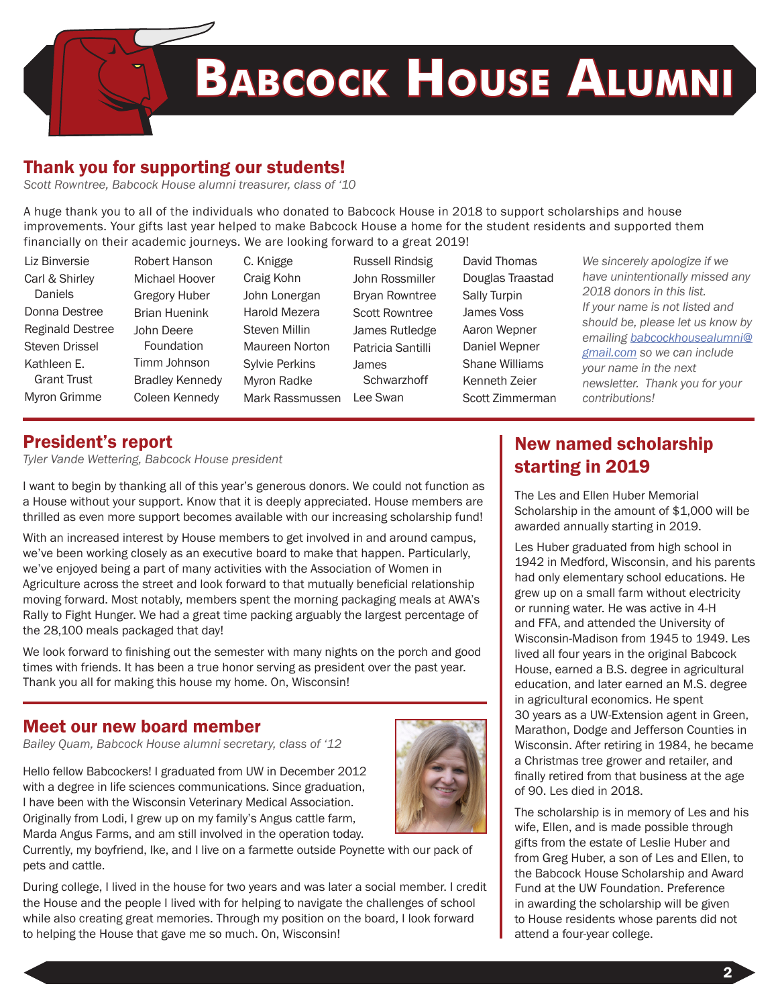

#### Thank you for supporting our students!

*Scott Rowntree, Babcock House alumni treasurer, class of '10*

A huge thank you to all of the individuals who donated to Babcock House in 2018 to support scholarships and house improvements. Your gifts last year helped to make Babcock House a home for the student residents and supported them financially on their academic journeys. We are looking forward to a great 2019!

| Liz Binversie                                                                                  | Robert Hanson                                                                        | C. Knigge                                                                                  | <b>Russell Rindsig</b>                                                         | David Thomas                                                                               | We sincerely apologize if we                                                                                                                                                                                                                                                   |
|------------------------------------------------------------------------------------------------|--------------------------------------------------------------------------------------|--------------------------------------------------------------------------------------------|--------------------------------------------------------------------------------|--------------------------------------------------------------------------------------------|--------------------------------------------------------------------------------------------------------------------------------------------------------------------------------------------------------------------------------------------------------------------------------|
| Carl & Shirley<br><b>Daniels</b><br>Donna Destree                                              | Michael Hoover<br><b>Gregory Huber</b><br><b>Brian Huenink</b>                       | Craig Kohn<br>John Lonergan<br>Harold Mezera                                               | John Rossmiller<br><b>Bryan Rowntree</b><br><b>Scott Rowntree</b>              | Douglas Traastad<br>Sally Turpin<br>James Voss                                             | have unintentionally missed any<br>2018 donors in this list.<br>If your name is not listed and<br>should be, please let us know by<br>emailing babcockhousealumni@<br>gmail.com so we can include<br>your name in the next<br>newsletter. Thank you for your<br>contributions! |
| <b>Reginald Destree</b><br>Steven Drissel<br>Kathleen E.<br><b>Grant Trust</b><br>Myron Grimme | John Deere<br>Foundation<br>Timm Johnson<br><b>Bradley Kennedy</b><br>Coleen Kennedy | Steven Millin<br>Maureen Norton<br><b>Sylvie Perkins</b><br>Myron Radke<br>Mark Rassmussen | James Rutledge<br>Patricia Santilli<br><b>James</b><br>Schwarzhoff<br>Lee Swan | Aaron Wepner<br>Daniel Wepner<br><b>Shane Williams</b><br>Kenneth Zeier<br>Scott Zimmerman |                                                                                                                                                                                                                                                                                |

#### President's report

*Tyler Vande Wettering, Babcock House president*

I want to begin by thanking all of this year's generous donors. We could not function as a House without your support. Know that it is deeply appreciated. House members are thrilled as even more support becomes available with our increasing scholarship fund!

With an increased interest by House members to get involved in and around campus, we've been working closely as an executive board to make that happen. Particularly, we've enjoyed being a part of many activities with the Association of Women in Agriculture across the street and look forward to that mutually beneficial relationship moving forward. Most notably, members spent the morning packaging meals at AWA's Rally to Fight Hunger. We had a great time packing arguably the largest percentage of the 28,100 meals packaged that day!

We look forward to finishing out the semester with many nights on the porch and good times with friends. It has been a true honor serving as president over the past year. Thank you all for making this house my home. On, Wisconsin!

#### Meet our new board member

*Bailey Quam, Babcock House alumni secretary, class of '12*

Hello fellow Babcockers! I graduated from UW in December 2012 with a degree in life sciences communications. Since graduation, I have been with the Wisconsin Veterinary Medical Association. Originally from Lodi, I grew up on my family's Angus cattle farm, Marda Angus Farms, and am still involved in the operation today.



Currently, my boyfriend, Ike, and I live on a farmette outside Poynette with our pack of pets and cattle.

During college, I lived in the house for two years and was later a social member. I credit the House and the people I lived with for helping to navigate the challenges of school while also creating great memories. Through my position on the board, I look forward to helping the House that gave me so much. On, Wisconsin!

#### New named scholarship starting in 2019

The Les and Ellen Huber Memorial Scholarship in the amount of \$1,000 will be awarded annually starting in 2019.

Les Huber graduated from high school in 1942 in Medford, Wisconsin, and his parents had only elementary school educations. He grew up on a small farm without electricity or running water. He was active in 4-H and FFA, and attended the University of Wisconsin-Madison from 1945 to 1949. Les lived all four years in the original Babcock House, earned a B.S. degree in agricultural education, and later earned an M.S. degree in agricultural economics. He spent 30 years as a UW-Extension agent in Green, Marathon, Dodge and Jefferson Counties in Wisconsin. After retiring in 1984, he became a Christmas tree grower and retailer, and finally retired from that business at the age of 90. Les died in 2018.

The scholarship is in memory of Les and his wife, Ellen, and is made possible through gifts from the estate of Leslie Huber and from Greg Huber, a son of Les and Ellen, to the Babcock House Scholarship and Award Fund at the UW Foundation. Preference in awarding the scholarship will be given to House residents whose parents did not attend a four-year college.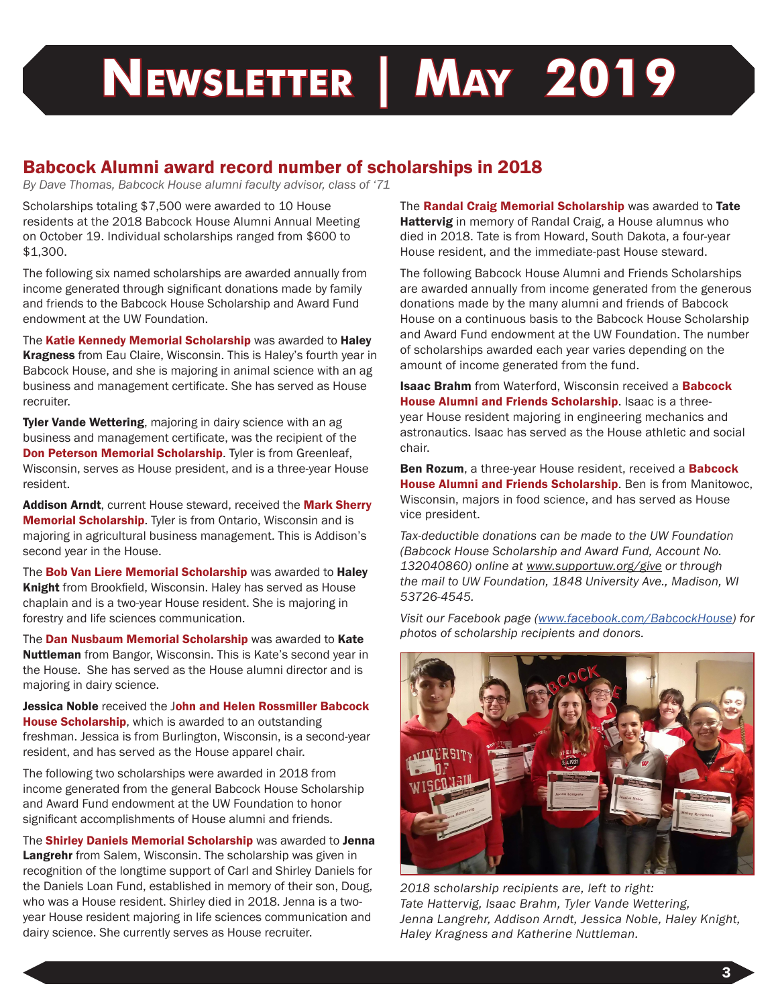## **Newsletter | May 2019**

#### Babcock Alumni award record number of scholarships in 2018

*By Dave Thomas, Babcock House alumni faculty advisor, class of '71*

Scholarships totaling \$7,500 were awarded to 10 House residents at the 2018 Babcock House Alumni Annual Meeting on October 19. Individual scholarships ranged from \$600 to \$1,300.

The following six named scholarships are awarded annually from income generated through significant donations made by family and friends to the Babcock House Scholarship and Award Fund endowment at the UW Foundation.

The Katie Kennedy Memorial Scholarship was awarded to Haley Kragness from Eau Claire, Wisconsin. This is Haley's fourth year in Babcock House, and she is majoring in animal science with an ag business and management certificate. She has served as House recruiter.

Tyler Vande Wettering, majoring in dairy science with an ag business and management certificate, was the recipient of the Don Peterson Memorial Scholarship. Tyler is from Greenleaf, Wisconsin, serves as House president, and is a three-year House resident.

Addison Arndt, current House steward, received the Mark Sherry **Memorial Scholarship.** Tyler is from Ontario, Wisconsin and is majoring in agricultural business management. This is Addison's second year in the House.

The Bob Van Liere Memorial Scholarship was awarded to Haley Knight from Brookfield, Wisconsin. Haley has served as House chaplain and is a two-year House resident. She is majoring in forestry and life sciences communication.

The Dan Nusbaum Memorial Scholarship was awarded to Kate Nuttleman from Bangor, Wisconsin. This is Kate's second year in the House. She has served as the House alumni director and is majoring in dairy science.

Jessica Noble received the John and Helen Rossmiller Babcock House Scholarship, which is awarded to an outstanding freshman. Jessica is from Burlington, Wisconsin, is a second-year resident, and has served as the House apparel chair.

The following two scholarships were awarded in 2018 from income generated from the general Babcock House Scholarship and Award Fund endowment at the UW Foundation to honor significant accomplishments of House alumni and friends.

The Shirley Daniels Memorial Scholarship was awarded to Jenna Langrehr from Salem, Wisconsin. The scholarship was given in recognition of the longtime support of Carl and Shirley Daniels for the Daniels Loan Fund, established in memory of their son, Doug, who was a House resident. Shirley died in 2018. Jenna is a twoyear House resident majoring in life sciences communication and dairy science. She currently serves as House recruiter.

The Randal Craig Memorial Scholarship was awarded to Tate **Hattervig** in memory of Randal Craig, a House alumnus who died in 2018. Tate is from Howard, South Dakota, a four-year House resident, and the immediate-past House steward.

The following Babcock House Alumni and Friends Scholarships are awarded annually from income generated from the generous donations made by the many alumni and friends of Babcock House on a continuous basis to the Babcock House Scholarship and Award Fund endowment at the UW Foundation. The number of scholarships awarded each year varies depending on the amount of income generated from the fund.

**Isaac Brahm** from Waterford, Wisconsin received a Babcock House Alumni and Friends Scholarship. Isaac is a threeyear House resident majoring in engineering mechanics and astronautics. Isaac has served as the House athletic and social chair.

Ben Rozum, a three-year House resident, received a Babcock House Alumni and Friends Scholarship. Ben is from Manitowoc, Wisconsin, majors in food science, and has served as House vice president.

*Tax-deductible donations can be made to the UW Foundation (Babcock House Scholarship and Award Fund, Account No. 132040860) online at www.supportuw.org/give or through the mail to UW Foundation, 1848 University Ave., Madison, WI 53726-4545.* 

*Visit our Facebook page ([www.facebook.com/BabcockHouse\)](http://www.facebook.com/BabcockHouse) for photos of scholarship recipients and donors.*



*2018 scholarship recipients are, left to right: Tate Hattervig, Isaac Brahm, Tyler Vande Wettering, Jenna Langrehr, Addison Arndt, Jessica Noble, Haley Knight, Haley Kragness and Katherine Nuttleman.*